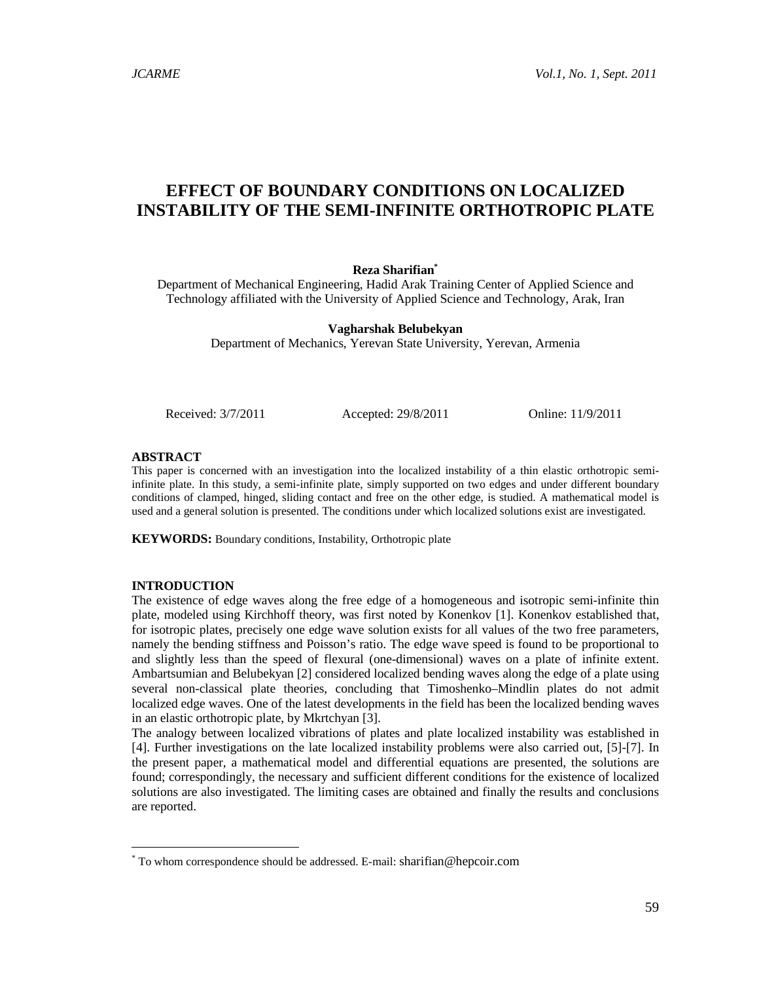# EFFECT OF BOUNDARY CONDITIONS ON LOCALIZ ED INSTABILITY OF THE S EMI -INFINITE ORTHOTROPIC PLATE

Reza Sharifian<sup>\*</sup>

Department of Mechanical Engineering, Hadid Arak Training Center of Applied Science and Technologyaffiliated with the University of Applied Science and Technology rak, Iran

> Vagharshak Belubekyan Department of Mechanics, Yerevan State University, Yerevan, Armenia

Received: 3/7/2011 Accepted:29/8/2011 Online:11/9/2011

# ABSTRACT

This paper is concerned with an investigation into the alized instability of a thin elastic orthotropic semi infinite plate. In this study, a semifinite plate, simply supported on two edges and er different boundary conditions ofclamped, hinged, sliding contact and free on the other edge, died A mathematical model is used and a general solution is presented conditions under which localized solutions exist are investigated.

KEYWORDS: Boundary conditions pastability, Orthotropic plate

# INTRODUCTION

The existence of edge waves along fritnee edge of a homogeneous and isotropic sine finite thin plate, modeled using Kirchhoff theory, was first noted by Konenkov [1]. Konenkov established that, for isotropic plates, precisely one edge wave solution exists for all values of the two are thests. namely the bending stiffness and Poisson€s ratio. The edge wave speed is found to be proportional to and slightly less than the speed of flexural (dimeensional) waves on a plate of infinite extent. Ambartsumian and Belubekyan [2] considered lized bending waves along the edge of a plate using several nonclassical plate theories, concluding that Timoshel windlin plates do not admit localized edge waves. One of the latest developments in the field has been the localized bending waves in an deastic orthotropic plate, by Mkrtchyan [3].

The analogy between localized vibrations of plates and plate localized instability was established in [4]. Further investigations on the late localized instability problems **were alsocarried out [5]-[7].** In the present paper a mathematical model and differmational equations are presented, hte solutions are found; correspondingly, the necessary and sufficient different conditions for the existence of localized solutions arealsoinvestigated. The limiting cases obtainedand finally the results and conclusions are reported.

<sup>\*</sup> To whom correspondence should be addressedail: sharifian@hecoir.com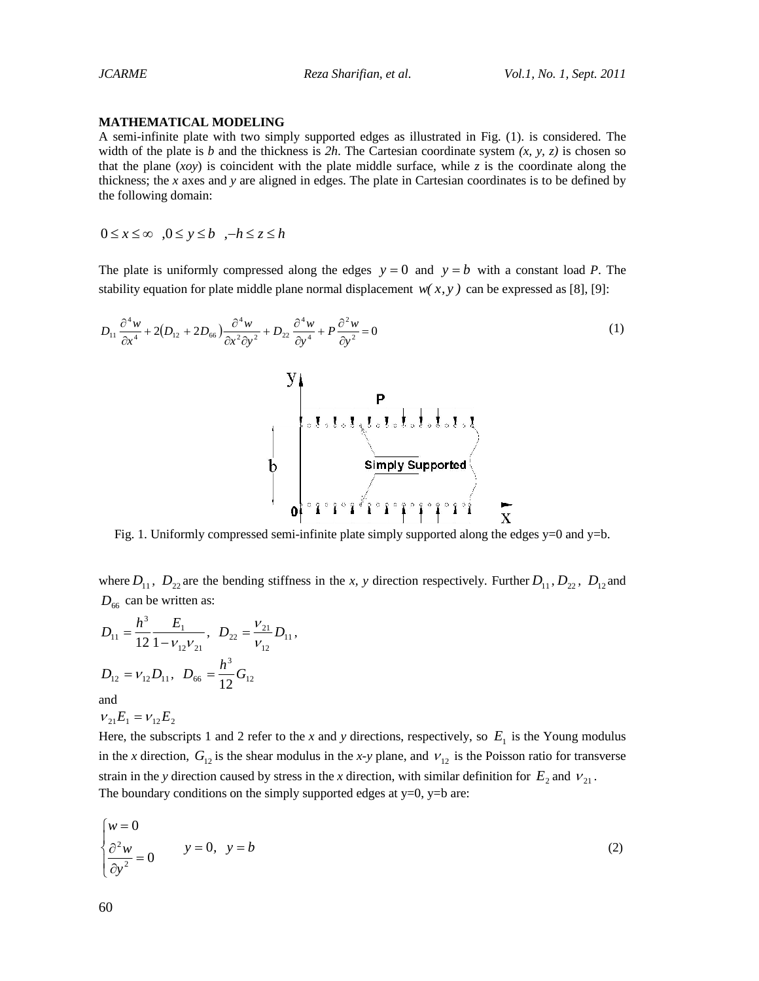# **MATHEMATICAL MODELING**

A semi-infinite plate with two simply supported edges as illustrated in Fig. (1). is considered. The width of the plate is *b* and the thickness is  $2h$ . The Cartesian coordinate system  $(x, y, z)$  is chosen so that the plane  $(xoy)$  is coincident with the plate middle surface, while *z* is the coordinate along the thickness; the *x* axes and *y* are aligned in edges. The plate in Cartesian coordinates is to be defined by the following domain:

 $0 \leq x \leq \infty$   $0 \leq y \leq h$   $-h \leq z \leq h$ 

The plate is uniformly compressed along the edges  $y = 0$  and  $y = b$  with a constant load P. The stability equation for plate middle plane normal displacement  $w(x, y)$  can be expressed as [8], [9]:

$$
D_{11}\frac{\partial^4 w}{\partial x^4} + 2(D_{12} + 2D_{66})\frac{\partial^4 w}{\partial x^2 \partial y^2} + D_{22}\frac{\partial^4 w}{\partial y^4} + P\frac{\partial^2 w}{\partial y^2} = 0
$$
\n(1)



Fig. 1. Uniformly compressed semi-infinite plate simply supported along the edges  $y=0$  and  $y=b$ .

where  $D_{11}$ ,  $D_{22}$  are the bending stiffness in the *x*, *y* direction respectively. Further  $D_{11}$ ,  $D_{22}$ ,  $D_{12}$  and  $D_{66}$  can be written as:

$$
D_{11} = \frac{h^3}{12} \frac{E_1}{1 - v_{12}v_{21}}, \quad D_{22} = \frac{v_{21}}{v_{12}} D_{11},
$$
  

$$
D_{12} = v_{12}D_{11}, \quad D_{66} = \frac{h^3}{12} G_{12}
$$

and

$$
v_{21}E_1 = v_{12}E_2
$$

Here, the subscripts 1 and 2 refer to the *x* and *y* directions, respectively, so  $E_1$  is the Young modulus in the *x* direction,  $G_{12}$  is the shear modulus in the *x*-*y* plane, and  $V_{12}$  is the Poisson ratio for transverse strain in the *y* direction caused by stress in the *x* direction, with similar definition for  $E_2$  and  $V_{21}$ . The boundary conditions on the simply supported edges at  $y=0$ ,  $y=b$  are:

$$
\begin{cases} w = 0 \\ \frac{\partial^2 w}{\partial y^2} = 0 \end{cases} \qquad y = 0, \quad y = b \tag{2}
$$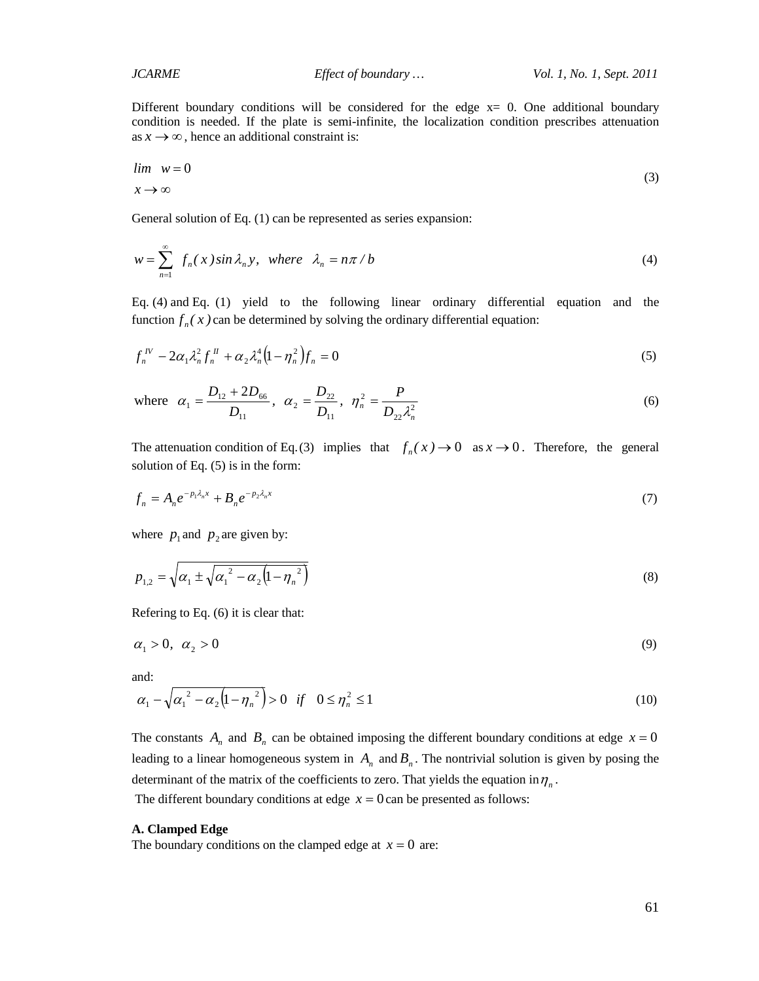Different boundary conditions will be considered for the edge  $x=0$ . One additional boundary condition is needed. If the plate is semi-infinite, the localization condition prescribes attenuation as  $x \rightarrow \infty$ , hence an additional constraint is:

$$
\lim_{x \to \infty} w = 0 \tag{3}
$$

General solution of Eq. (1) can be represented as series expansion:

$$
w = \sum_{n=1}^{\infty} f_n(x) \sin \lambda_n y, \text{ where } \lambda_n = n\pi/b
$$
 (4)

Eq. (4) and Eq. (1) yield to the following linear ordinary differential equation and the function  $f_n(x)$  can be determined by solving the ordinary differential equation:

$$
f_n^{\,N} - 2\alpha_1 \lambda_n^2 f_n^{\,N} + \alpha_2 \lambda_n^4 \Big( 1 - \eta_n^2 \Big) f_n = 0 \tag{5}
$$

where 
$$
\alpha_1 = \frac{D_{12} + 2D_{66}}{D_{11}}
$$
,  $\alpha_2 = \frac{D_{22}}{D_{11}}$ ,  $\eta_n^2 = \frac{P}{D_{22}\lambda_n^2}$  (6)

The attenuation condition of Eq.(3) implies that  $f_n(x) \to 0$  as  $x \to 0$ . Therefore, the general solution of Eq. (5) is in the form:

$$
f_n = A_n e^{-p_1 \lambda_n x} + B_n e^{-p_2 \lambda_n x} \tag{7}
$$

where  $p_1$  and  $p_2$  are given by:

$$
p_{1,2} = \sqrt{\alpha_1 \pm \sqrt{{\alpha_1}^2 - {\alpha_2} (1 - {\eta_n}^2)}}
$$
 (8)

Refering to Eq. (6) it is clear that:

$$
\alpha_1 > 0, \quad \alpha_2 > 0 \tag{9}
$$

and:

$$
\alpha_1 - \sqrt{{\alpha_1}^2 - {\alpha_2} (1 - {\eta_n}^2)} > 0 \quad \text{if} \quad 0 \le \eta_n^2 \le 1 \tag{10}
$$

The constants  $A_n$  and  $B_n$  can be obtained imposing the different boundary conditions at edge  $x = 0$ leading to a linear homogeneous system in  $A_n$  and  $B_n$ . The nontrivial solution is given by posing the determinant of the matrix of the coefficients to zero. That yields the equation in  $\eta_n$ .

The different boundary conditions at edge  $x = 0$  can be presented as follows:

#### **A. Clamped Edge**

The boundary conditions on the clamped edge at  $x = 0$  are: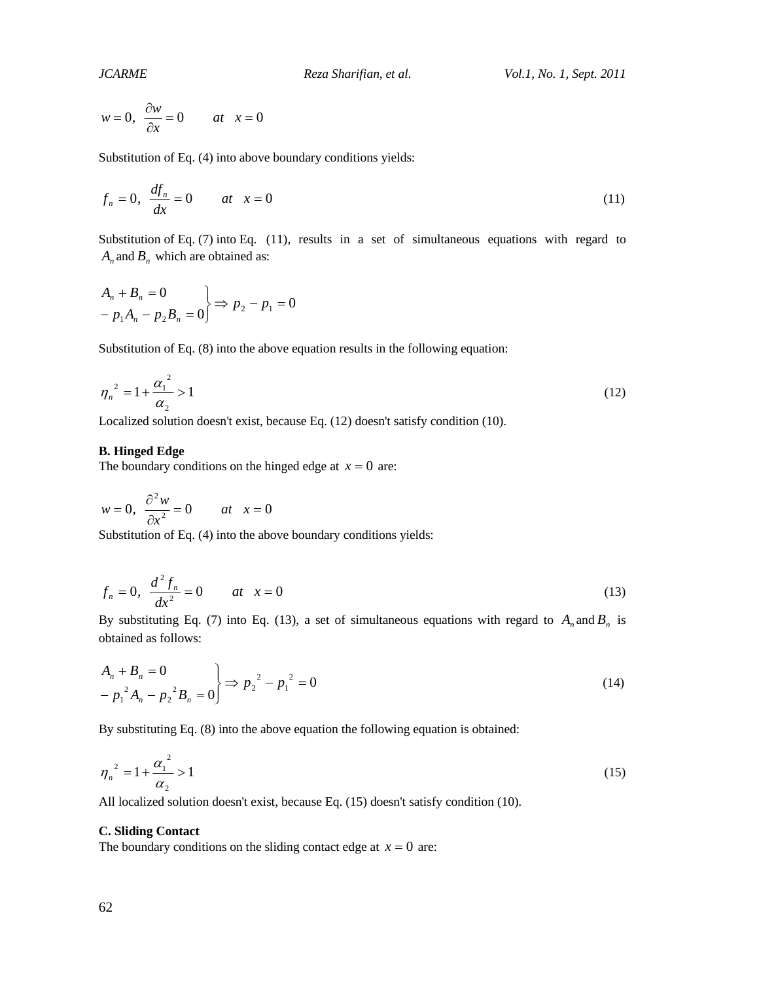$$
w = 0, \ \frac{\partial w}{\partial x} = 0 \qquad at \quad x = 0
$$

Substitution of Eq. (4) into above boundary conditions yields:

$$
f_n = 0, \quad \frac{df_n}{dx} = 0 \qquad at \quad x = 0 \tag{11}
$$

Substitution of Eq. (7) into Eq. (11), results in a set of simultaneous equations with regard to  $A_n$  and  $B_n$  which are obtained as:

$$
\begin{aligned}\nA_n + B_n &= 0 \\
-p_1 A_n - p_2 B_n &= 0\n\end{aligned}\n\Rightarrow p_2 - p_1 = 0
$$

Substitution of Eq. (8) into the above equation results in the following equation:

$$
\eta_n^2 = 1 + \frac{\alpha_1^2}{\alpha_2} > 1\tag{12}
$$

Localized solution doesn't exist, because Eq. (12) doesn't satisfy condition (10).

### **B. Hinged Edge**

The boundary conditions on the hinged edge at  $x = 0$  are:

$$
w = 0, \ \frac{\partial^2 w}{\partial x^2} = 0 \qquad at \ x = 0
$$

Substitution of Eq. (4) into the above boundary conditions yields:

$$
f_n = 0, \quad \frac{d^2 f_n}{dx^2} = 0 \qquad at \quad x = 0 \tag{13}
$$

By substituting Eq. (7) into Eq. (13), a set of simultaneous equations with regard to  $A_n$  and  $B_n$  is obtained as follows:

$$
\begin{aligned}\nA_n + B_n &= 0 \\
-P_1^2 A_n - p_2^2 B_n &= 0\n\end{aligned}\n\right\} \Rightarrow p_2^2 - p_1^2 = 0
$$
\n(14)

By substituting Eq. (8) into the above equation the following equation is obtained:

$$
\eta_n^2 = 1 + \frac{{\alpha_1}^2}{\alpha_2} > 1 \tag{15}
$$

All localized solution doesn't exist, because Eq. (15) doesn't satisfy condition (10).

#### **C. Sliding Contact**

The boundary conditions on the sliding contact edge at  $x = 0$  are: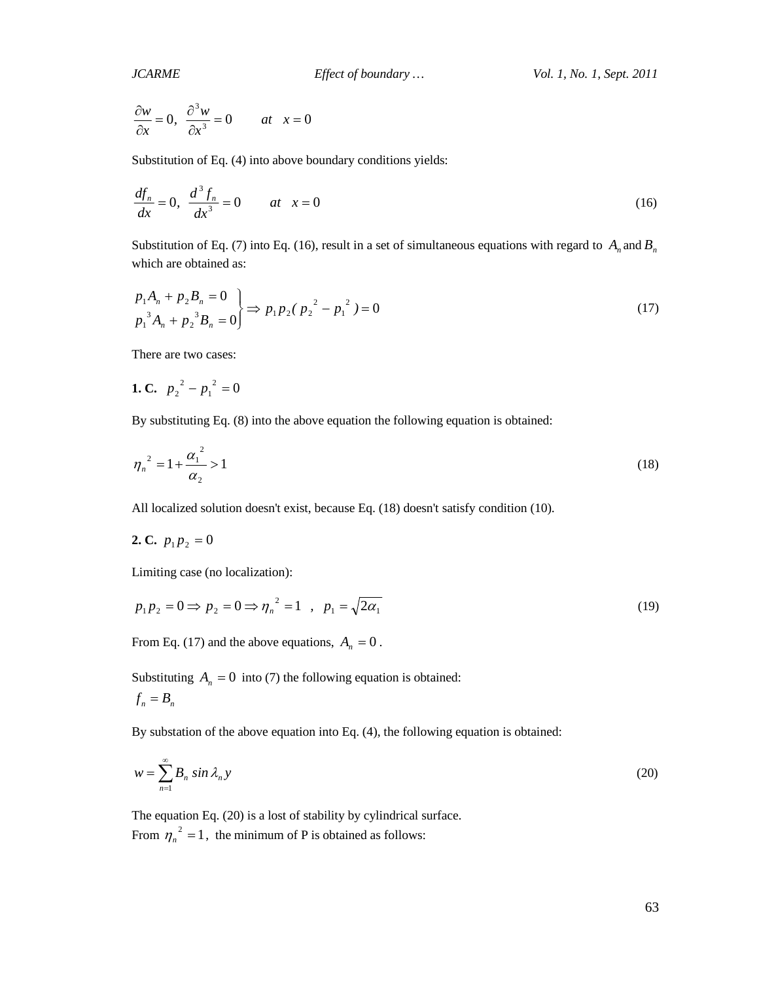$$
\frac{\partial w}{\partial x} = 0, \quad \frac{\partial^3 w}{\partial x^3} = 0 \qquad at \quad x = 0
$$

Substitution of Eq. (4) into above boundary conditions yields:

$$
\frac{df_n}{dx} = 0, \quad \frac{d^3 f_n}{dx^3} = 0 \qquad at \quad x = 0 \tag{16}
$$

Substitution of Eq. (7) into Eq. (16), result in a set of simultaneous equations with regard to  $A_n$  and  $B_n$ which are obtained as:

$$
\left\{\n \begin{aligned}\n p_1 A_n + p_2 B_n &= 0 \\
 p_1^3 A_n + p_2^3 B_n &= 0\n \end{aligned}\n \right\}\n \Rightarrow\n p_1 p_2 (p_2^2 - p_1^2) = 0
$$
\n<sup>(17)</sup>

There are two cases:

1. C. 
$$
p_2^2 - p_1^2 = 0
$$

By substituting Eq. (8) into the above equation the following equation is obtained:

$$
\eta_n^2 = 1 + \frac{{\alpha_1}^2}{\alpha_2} > 1 \tag{18}
$$

All localized solution doesn't exist, because Eq. (18) doesn't satisfy condition (10).

2. C. 
$$
p_1 p_2 = 0
$$

Limiting case (no localization):

$$
p_1 p_2 = 0 \Rightarrow p_2 = 0 \Rightarrow \eta_n^2 = 1 \quad , \quad p_1 = \sqrt{2\alpha_1} \tag{19}
$$

From Eq. (17) and the above equations,  $A_n = 0$ .

Substituting  $A_n = 0$  into (7) the following equation is obtained:  $f_n = B_n$ 

By substation of the above equation into Eq. (4), the following equation is obtained:

$$
w = \sum_{n=1}^{\infty} B_n \sin \lambda_n y \tag{20}
$$

The equation Eq. (20) is a lost of stability by cylindrical surface. From  $\eta_n^2 = 1$ , the minimum of P is obtained as follows: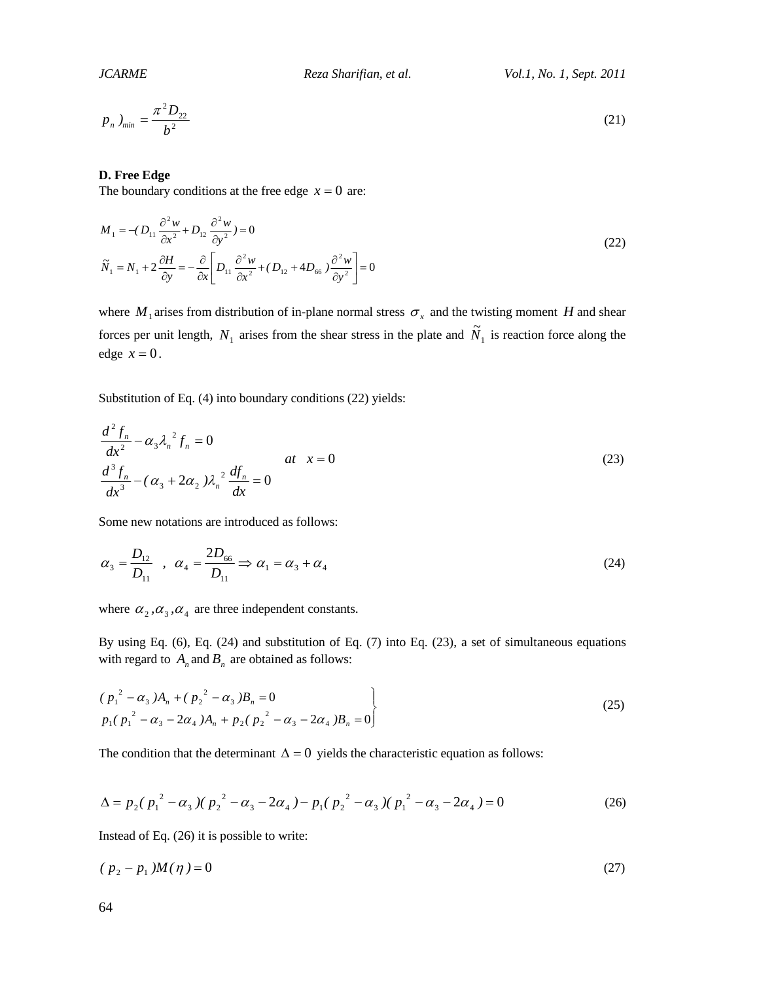$$
p_n \, y_{\text{min}} = \frac{\pi^2 D_{22}}{b^2} \tag{21}
$$

#### **D. Free Edge**

The boundary conditions at the free edge  $x = 0$  are:

$$
M_1 = -(D_{11} \frac{\partial^2 w}{\partial x^2} + D_{12} \frac{\partial^2 w}{\partial y^2}) = 0
$$
  

$$
\tilde{N}_1 = N_1 + 2 \frac{\partial H}{\partial y} = -\frac{\partial}{\partial x} \left[ D_{11} \frac{\partial^2 w}{\partial x^2} + (D_{12} + 4D_{66}) \frac{\partial^2 w}{\partial y^2} \right] = 0
$$
\n(22)

where  $M_1$  arises from distribution of in-plane normal stress  $\sigma_x$  and the twisting moment *H* and shear forces per unit length,  $N_1$  arises from the shear stress in the plate and  $\tilde{N}_1$  is reaction force along the edge  $x = 0$ .

Substitution of Eq. (4) into boundary conditions (22) yields:

$$
\frac{d^2 f_n}{dx^2} - \alpha_3 \lambda_n^2 f_n = 0
$$
\n
$$
\frac{d^3 f_n}{dx^3} - (\alpha_3 + 2\alpha_2) \lambda_n^2 \frac{df_n}{dx} = 0
$$
\n(23)

Some new notations are introduced as follows:

$$
\alpha_3 = \frac{D_{12}}{D_{11}} \quad , \quad \alpha_4 = \frac{2D_{66}}{D_{11}} \Rightarrow \alpha_1 = \alpha_3 + \alpha_4 \tag{24}
$$

where  $\alpha_2, \alpha_3, \alpha_4$  are three independent constants.

By using Eq. (6), Eq. (24) and substitution of Eq. (7) into Eq. (23), a set of simultaneous equations with regard to  $A_n$  and  $B_n$  are obtained as follows:

$$
\begin{aligned}\n &\left(p_1^2 - \alpha_3\right)A_n + \left(p_2^2 - \alpha_3\right)B_n = 0 \\
 &\left(p_1\left(p_1^2 - \alpha_3 - 2\alpha_4\right)A_n + p_2\left(p_2^2 - \alpha_3 - 2\alpha_4\right)B_n = 0\right]\n \end{aligned}\n \tag{25}
$$

The condition that the determinant  $\Delta = 0$  yields the characteristic equation as follows:

$$
\Delta = p_2 (p_1^2 - \alpha_3) (p_2^2 - \alpha_3 - 2\alpha_4) - p_1 (p_2^2 - \alpha_3) (p_1^2 - \alpha_3 - 2\alpha_4) = 0
$$
\n(26)

Instead of Eq. (26) it is possible to write:

$$
(p_2 - p_1)M(\eta) = 0 \tag{27}
$$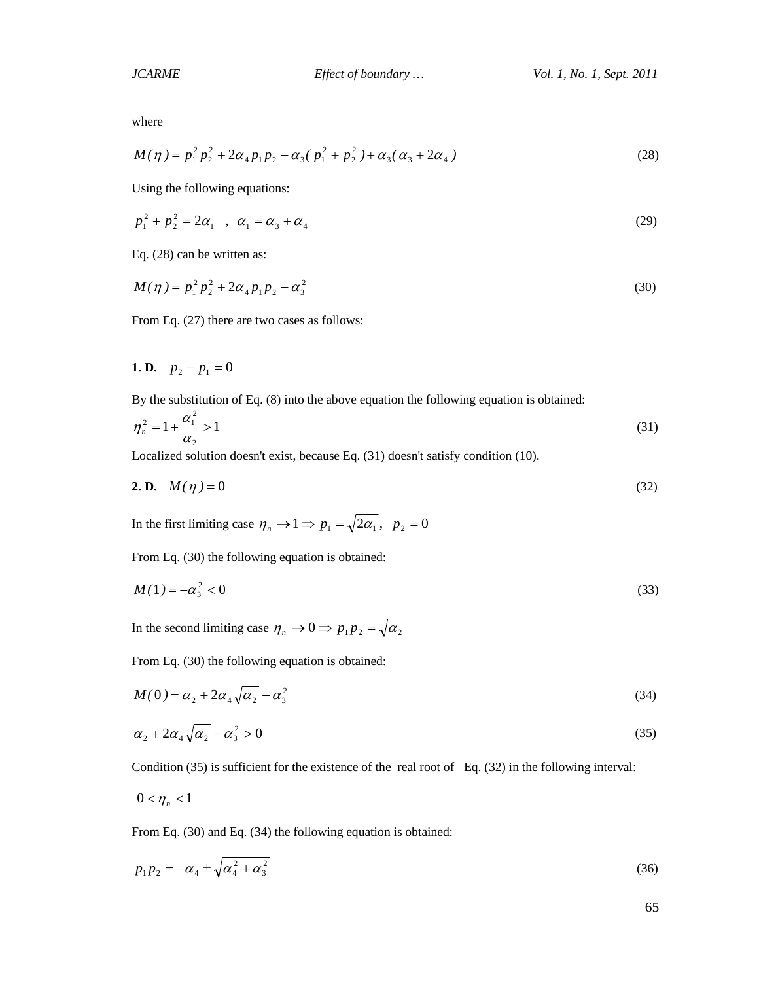where

$$
M(\eta) = p_1^2 p_2^2 + 2\alpha_4 p_1 p_2 - \alpha_3 (p_1^2 + p_2^2) + \alpha_3 (\alpha_3 + 2\alpha_4)
$$
\n(28)

Using the following equations:

$$
p_1^2 + p_2^2 = 2\alpha_1 \quad , \quad \alpha_1 = \alpha_3 + \alpha_4 \tag{29}
$$

Eq. (28) can be written as:

$$
M(\eta) = p_1^2 p_2^2 + 2\alpha_4 p_1 p_2 - \alpha_3^2 \tag{30}
$$

From Eq. (27) there are two cases as follows:

# **1. D.**  $p_2 - p_1 = 0$

By the substitution of Eq. (8) into the above equation the following equation is obtained:

$$
\eta_n^2 = 1 + \frac{\alpha_1^2}{\alpha_2} > 1\tag{31}
$$

Localized solution doesn't exist, because Eq. (31) doesn't satisfy condition (10).

**2. D.** 
$$
M(\eta) = 0
$$
 (32)

In the first limiting case  $\eta_n \to 1 \Rightarrow p_1 = \sqrt{2\alpha_1}$ ,  $p_2 = 0$ 

From Eq. (30) the following equation is obtained:

$$
M(1) = -\alpha_3^2 < 0\tag{33}
$$

In the second limiting case  $\eta_n \to 0 \implies p_1 p_2 = \sqrt{\alpha_2}$ 

From Eq. (30) the following equation is obtained:

$$
M(0) = \alpha_2 + 2\alpha_4 \sqrt{\alpha_2} - \alpha_3^2 \tag{34}
$$

$$
\alpha_2 + 2\alpha_4 \sqrt{\alpha_2} - \alpha_3^2 > 0 \tag{35}
$$

Condition (35) is sufficient for the existence of the real root of Eq. (32) in the following interval:

$$
0<\eta_n<1
$$

From Eq. (30) and Eq. (34) the following equation is obtained:

$$
p_1 p_2 = -\alpha_4 \pm \sqrt{\alpha_4^2 + \alpha_3^2} \tag{36}
$$

65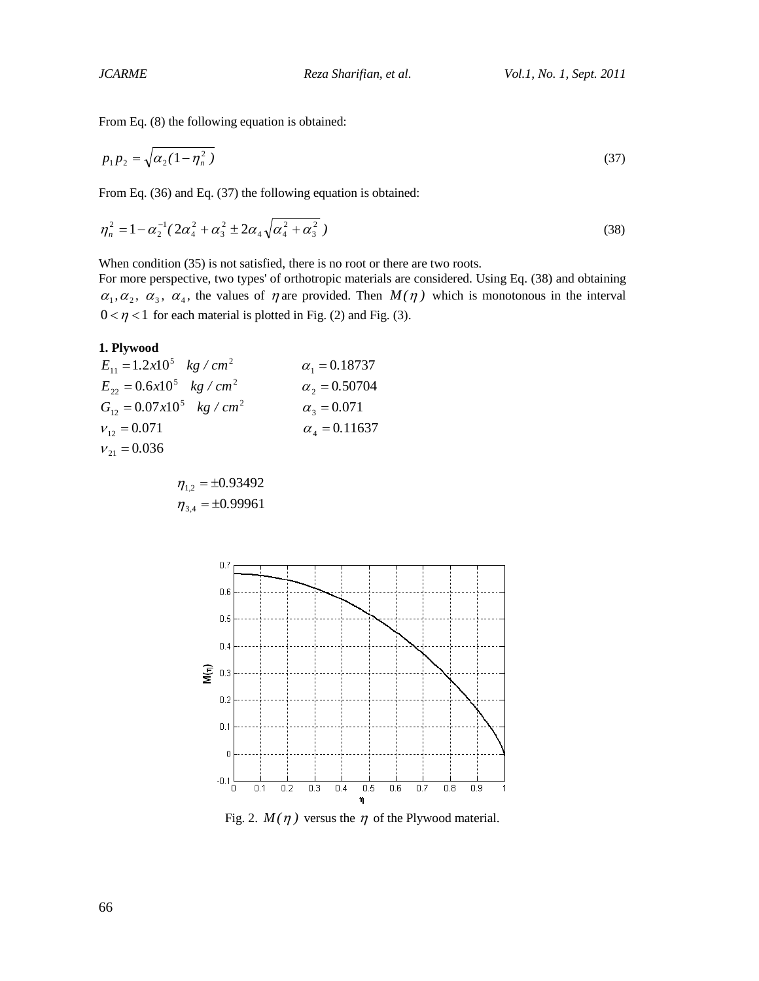From Eq. (8) the following equation is obtained:

$$
p_1 p_2 = \sqrt{\alpha_2 (1 - \eta_n^2)}\tag{37}
$$

From Eq. (36) and Eq. (37) the following equation is obtained:

$$
\eta_n^2 = 1 - \alpha_2^{-1} (2\alpha_4^2 + \alpha_3^2 \pm 2\alpha_4 \sqrt{\alpha_4^2 + \alpha_3^2})
$$
\n(38)

When condition (35) is not satisfied, there is no root or there are two roots.

For more perspective, two types' of orthotropic materials are considered. Using Eq. (38) and obtaining  $\alpha_1, \alpha_2, \alpha_3, \alpha_4$ , the values of  $\eta$  are provided. Then  $M(\eta)$  which is monotonous in the interval  $0 < \eta < 1$  for each material is plotted in Fig. (2) and Fig. (3).

## **1. Plywood**

| $E_{11} = 1.2x10^5$ kg / cm <sup>2</sup>  | $\alpha_1 = 0.18737$ |
|-------------------------------------------|----------------------|
| $E_{22} = 0.6x10^5$ kg / cm <sup>2</sup>  | $\alpha_2 = 0.50704$ |
| $G_{12} = 0.07x10^5$ kg / cm <sup>2</sup> | $\alpha_{3} = 0.071$ |
| $V_{12} = 0.071$                          | $\alpha_4 = 0.11637$ |
| $V_{21} = 0.036$                          |                      |

$$
\eta_{1,2} = \pm 0.93492
$$

$$
\eta_{3,4} = \pm 0.99961
$$



Fig. 2.  $M(\eta)$  versus the  $\eta$  of the Plywood material.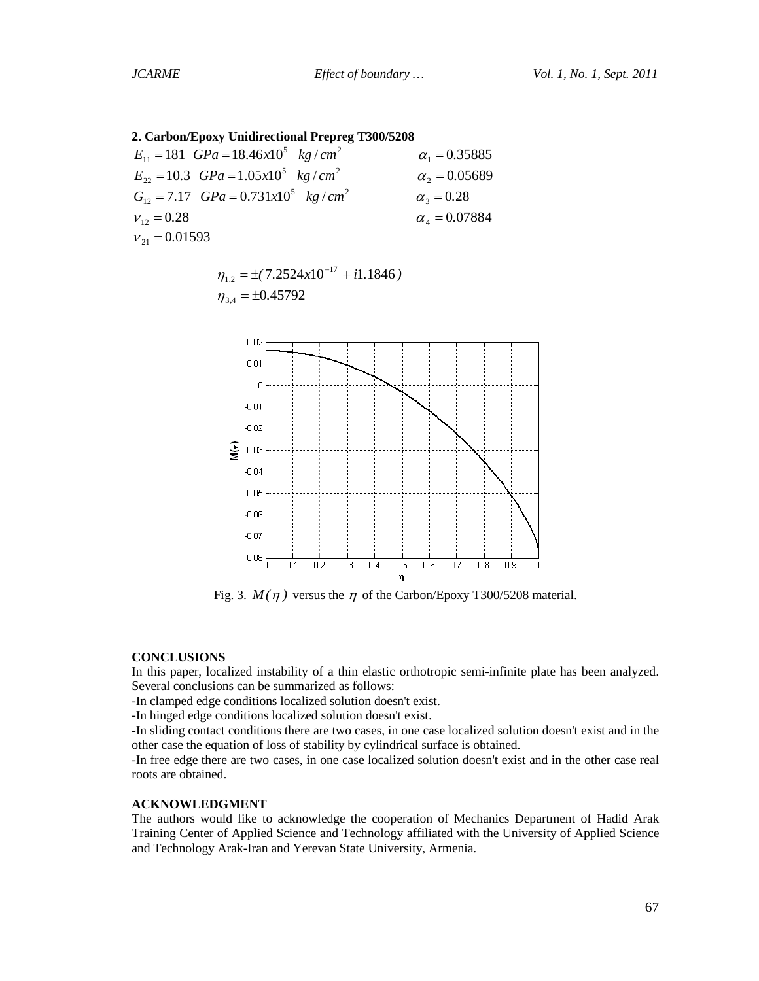**2. Carbon/Epoxy Unidirectional Prepreg T300/5208**

| $E_{11} = 181$ $GPa = 18.46x10^5$ kg/cm <sup>2</sup>          | $\alpha_1 = 0.35885$ |
|---------------------------------------------------------------|----------------------|
| $E_{22} = 10.3$ GPa = 1.05x10 <sup>5</sup> kg/cm <sup>2</sup> | $\alpha_2 = 0.05689$ |
| $G_{12} = 7.17$ $GPa = 0.731x10^5$ $kg/cm^2$                  | $\alpha_{3} = 0.28$  |
| $V_{12} = 0.28$                                               | $\alpha_4 = 0.07884$ |
| $V_{21} = 0.01593$                                            |                      |

 $\eta_{1,2} = \pm (7.2524 \times 10^{-17} + i1.1846)$  $\eta_{34} = \pm 0.45792$ 



Fig. 3.  $M(\eta)$  versus the  $\eta$  of the Carbon/Epoxy T300/5208 material.

#### **CONCLUSIONS**

In this paper, localized instability of a thin elastic orthotropic semi-infinite plate has been analyzed. Several conclusions can be summarized as follows:

-In clamped edge conditions localized solution doesn't exist.

-In hinged edge conditions localized solution doesn't exist.

-In sliding contact conditions there are two cases, in one case localized solution doesn't exist and in the other case the equation of loss of stability by cylindrical surface is obtained.

-In free edge there are two cases, in one case localized solution doesn't exist and in the other case real roots are obtained.

### **ACKNOWLEDGMENT**

The authors would like to acknowledge the cooperation of Mechanics Department of Hadid Arak Training Center of Applied Science and Technology affiliated with the University of Applied Science and Technology Arak-Iran and Yerevan State University, Armenia.